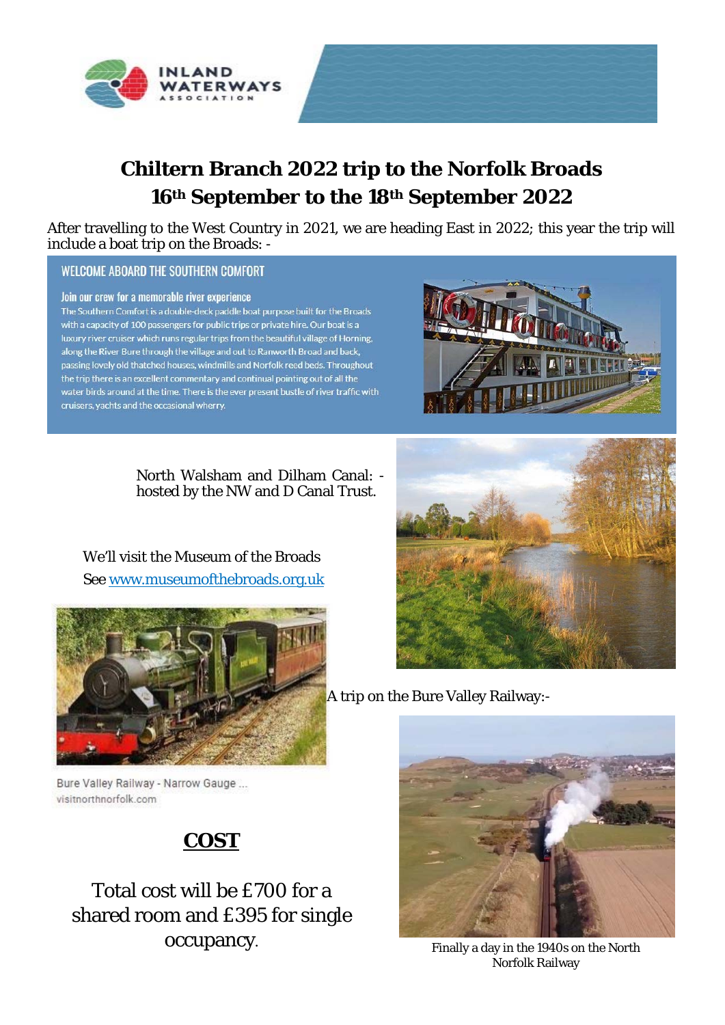

# **Chiltern Branch 2022 trip to the Norfolk Broads 16th September to the 18th September 2022**

After travelling to the West Country in 2021, we are heading East in 2022; this year the trip will include a boat trip on the Broads: -

#### **WELCOME ABOARD THE SOUTHERN COMFORT**

#### Join our crew for a memorable river experience

The Southern Comfort is a double-deck paddle boat purpose built for the Broads with a capacity of 100 passengers for public trips or private hire. Our boat is a luxury river cruiser which runs regular trips from the beautiful village of Horning, along the River Bure through the village and out to Ranworth Broad and back, passing lovely old thatched houses, windmills and Norfolk reed beds. Throughout the trip there is an excellent commentary and continual pointing out of all the water birds around at the time. There is the ever present bustle of river traffic with cruisers, yachts and the occasional wherry.



North Walsham and Dilham Canal: hosted by the NW and D Canal Trust.

We'll visit the Museum of the Broads See www.museumofthebroads.org.uk



A trip on the Bure Valley Railway:-



Finally a day in the 1940s on the North Norfolk Railway

Bure Valley Railway - Narrow Gauge ... visitnorthnorfolk.com

## **COST**

## Total cost will be £700 for a shared room and £395 for single occupancy.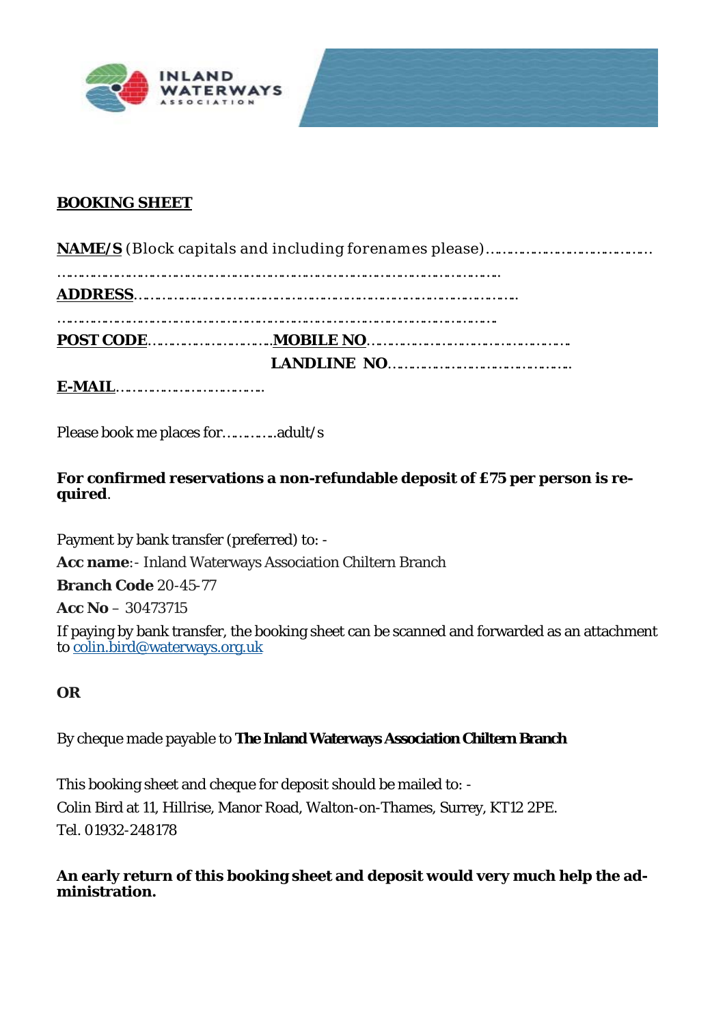



#### **BOOKING SHEET**

Please book me places for…………..adult/s

**For confirmed reservations a non-refundable deposit of £75 per person is required**.

Payment by bank transfer (preferred) to: -

**Acc name**:- Inland Waterways Association Chiltern Branch

**Branch Code** 20-45-77

**Acc No** – 30473715

If paying by bank transfer, the booking sheet can be scanned and forwarded as an attachment to colin.bird@waterways.org.uk

#### **OR**

By cheque made payable to **The Inland Waterways Association Chiltern Branch**

This booking sheet and cheque for deposit should be mailed to: - Colin Bird at 11, Hillrise, Manor Road, Walton-on-Thames, Surrey, KT12 2PE. Tel. 01932-248178

**An early return of this booking sheet and deposit would very much help the administration.**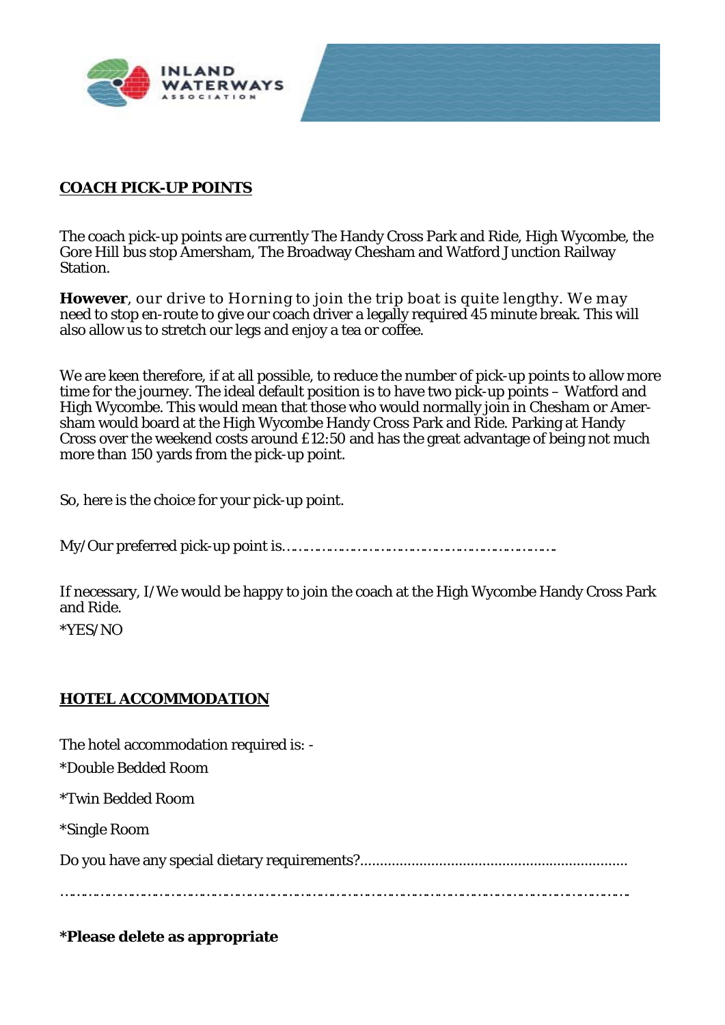

#### **COACH PICK-UP POINTS**

The coach pick-up points are currently The Handy Cross Park and Ride, High Wycombe, the Gore Hill bus stop Amersham, The Broadway Chesham and Watford Junction Railway Station.

**However**, our drive to Horning to join the trip boat is quite lengthy. We may need to stop en-route to give our coach driver a legally required 45 minute break. This will also allow us to stretch our legs and enjoy a tea or coffee.

We are keen therefore, if at all possible, to reduce the number of pick-up points to allow more time for the journey. The ideal default position is to have two pick-up points – Watford and High Wycombe. This would mean that those who would normally join in Chesham or Amersham would board at the High Wycombe Handy Cross Park and Ride. Parking at Handy Cross over the weekend costs around £12:50 and has the great advantage of being not much more than 150 yards from the pick-up point.

So, here is the choice for your pick-up point.

My/Our preferred pick-up point is…………………………………………………………….

If necessary, I/We would be happy to join the coach at the High Wycombe Handy Cross Park and Ride.

\*YES/NO

#### **HOTEL ACCOMMODATION**

The hotel accommodation required is: - \*Double Bedded Room \*Twin Bedded Room

\*Single Room

Do you have any special dietary requirements?....................................................................

……………………………………………………………………………………………………………………………….

### **\*Please delete as appropriate**